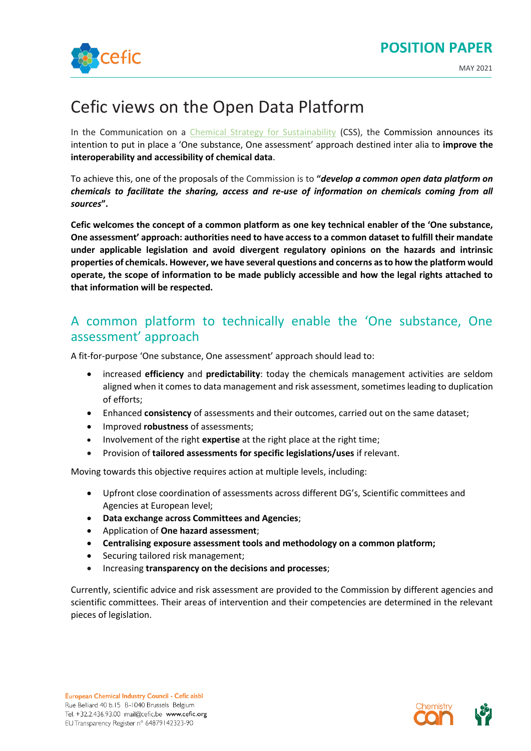

# Cefic views on the Open Data Platform

In the Communication on a [Chemical Strategy for Sustainability](https://ec.europa.eu/environment/pdf/chemicals/2020/10/Strategy.pdf) (CSS), the Commission announces its intention to put in place a 'One substance, One assessment' approach destined inter alia to **improve the interoperability and accessibility of chemical data**.

To achieve this, one of the proposals of the Commission is to **"***develop a common open data platform on chemicals to facilitate the sharing, access and re-use of information on chemicals coming from all sources***".**

**Cefic welcomes the concept of a common platform as one key technical enabler of the 'One substance, One assessment' approach: authorities need to have access to a common dataset to fulfill their mandate under applicable legislation and avoid divergent regulatory opinions on the hazards and intrinsic properties of chemicals. However, we have several questions and concerns as to how the platform would operate, the scope of information to be made publicly accessible and how the legal rights attached to that information will be respected.**

## A common platform to technically enable the 'One substance, One assessment' approach

A fit-for-purpose 'One substance, One assessment' approach should lead to:

- increased **efficiency** and **predictability**: today the chemicals management activities are seldom aligned when it comes to data management and risk assessment, sometimes leading to duplication of efforts;
- Enhanced **consistency** of assessments and their outcomes, carried out on the same dataset;
- Improved **robustness** of assessments;
- Involvement of the right **expertise** at the right place at the right time;
- Provision of **tailored assessments for specific legislations/uses** if relevant.

Moving towards this objective requires action at multiple levels, including:

- Upfront close coordination of assessments across different DG's, Scientific committees and Agencies at European level;
- **Data exchange across Committees and Agencies**;
- Application of **One hazard assessment**;
- **Centralising exposure assessment tools and methodology on a common platform;**
- Securing tailored risk management;
- Increasing **transparency on the decisions and processes**;

Currently, scientific advice and risk assessment are provided to the Commission by different agencies and scientific committees. Their areas of intervention and their competencies are determined in the relevant pieces of legislation.

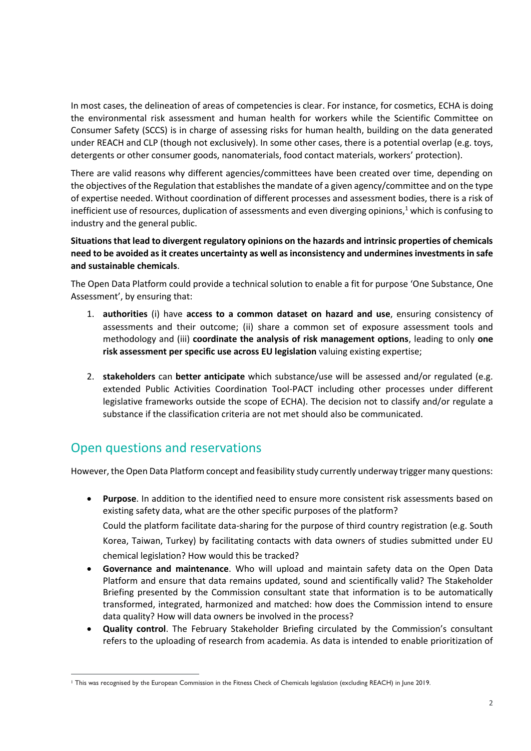In most cases, the delineation of areas of competencies is clear. For instance, for cosmetics, ECHA is doing the environmental risk assessment and human health for workers while the Scientific Committee on Consumer Safety (SCCS) is in charge of assessing risks for human health, building on the data generated under REACH and CLP (though not exclusively). In some other cases, there is a potential overlap (e.g. toys, detergents or other consumer goods, nanomaterials, food contact materials, workers' protection).

There are valid reasons why different agencies/committees have been created over time, depending on the objectives of the Regulation that establishes the mandate of a given agency/committee and on the type of expertise needed. Without coordination of different processes and assessment bodies, there is a risk of inefficient use of resources, duplication of assessments and even diverging opinions, $1$  which is confusing to industry and the general public.

**Situations that lead to divergent regulatory opinions on the hazards and intrinsic properties of chemicals need to be avoided as it creates uncertainty as well as inconsistency and undermines investments in safe and sustainable chemicals**.

The Open Data Platform could provide a technical solution to enable a fit for purpose 'One Substance, One Assessment', by ensuring that:

- 1. **authorities** (i) have **access to a common dataset on hazard and use**, ensuring consistency of assessments and their outcome; (ii) share a common set of exposure assessment tools and methodology and (iii) **coordinate the analysis of risk management options**, leading to only **one risk assessment per specific use across EU legislation** valuing existing expertise;
- 2. **stakeholders** can **better anticipate** which substance/use will be assessed and/or regulated (e.g. extended Public Activities Coordination Tool-PACT including other processes under different legislative frameworks outside the scope of ECHA). The decision not to classify and/or regulate a substance if the classification criteria are not met should also be communicated.

## Open questions and reservations

However, the Open Data Platform concept and feasibility study currently underway trigger many questions:

- **Purpose**. In addition to the identified need to ensure more consistent risk assessments based on existing safety data, what are the other specific purposes of the platform? Could the platform facilitate data-sharing for the purpose of third country registration (e.g. South Korea, Taiwan, Turkey) by facilitating contacts with data owners of studies submitted under EU chemical legislation? How would this be tracked?
- **Governance and maintenance**. Who will upload and maintain safety data on the Open Data Platform and ensure that data remains updated, sound and scientifically valid? The Stakeholder Briefing presented by the Commission consultant state that information is to be automatically transformed, integrated, harmonized and matched: how does the Commission intend to ensure data quality? How will data owners be involved in the process?
- **Quality control**. The February Stakeholder Briefing circulated by the Commission's consultant refers to the uploading of research from academia. As data is intended to enable prioritization of

<sup>1</sup> This was recognised by the European Commission in the Fitness Check of Chemicals legislation (excluding REACH) in June 2019.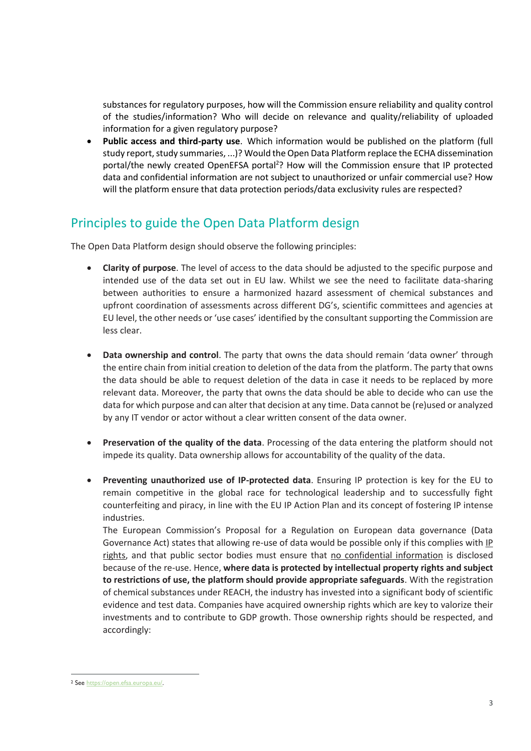substances for regulatory purposes, how will the Commission ensure reliability and quality control of the studies/information? Who will decide on relevance and quality/reliability of uploaded information for a given regulatory purpose?

• **Public access and third-party use**. Which information would be published on the platform (full study report, study summaries, ...)? Would the Open Data Platform replace the ECHA dissemination portal/the newly created OpenEFSA portal<sup>2</sup>? How will the Commission ensure that IP protected data and confidential information are not subject to unauthorized or unfair commercial use? How will the platform ensure that data protection periods/data exclusivity rules are respected?

## Principles to guide the Open Data Platform design

The Open Data Platform design should observe the following principles:

- **Clarity of purpose**. The level of access to the data should be adjusted to the specific purpose and intended use of the data set out in EU law. Whilst we see the need to facilitate data-sharing between authorities to ensure a harmonized hazard assessment of chemical substances and upfront coordination of assessments across different DG's, scientific committees and agencies at EU level, the other needs or 'use cases' identified by the consultant supporting the Commission are less clear.
- **Data ownership and control**. The party that owns the data should remain 'data owner' through the entire chain from initial creation to deletion of the data from the platform. The party that owns the data should be able to request deletion of the data in case it needs to be replaced by more relevant data. Moreover, the party that owns the data should be able to decide who can use the data for which purpose and can alter that decision at any time. Data cannot be (re)used or analyzed by any IT vendor or actor without a clear written consent of the data owner.
- **Preservation of the quality of the data**. Processing of the data entering the platform should not impede its quality. Data ownership allows for accountability of the quality of the data.
- **Preventing unauthorized use of IP-protected data**. Ensuring IP protection is key for the EU to remain competitive in the global race for technological leadership and to successfully fight counterfeiting and piracy, in line with the EU IP Action Plan and its concept of fostering IP intense industries.

The European Commission's Proposal for a Regulation on European data governance (Data Governance Act) states that allowing re-use of data would be possible only if this complies with IP rights, and that public sector bodies must ensure that no confidential information is disclosed because of the re-use. Hence, **where data is protected by intellectual property rights and subject to restrictions of use, the platform should provide appropriate safeguards**. With the registration of chemical substances under REACH, the industry has invested into a significant body of scientific evidence and test data. Companies have acquired ownership rights which are key to valorize their investments and to contribute to GDP growth. Those ownership rights should be respected, and accordingly:

<sup>2</sup> See [https://open.efsa.europa.eu/.](https://open.efsa.europa.eu/)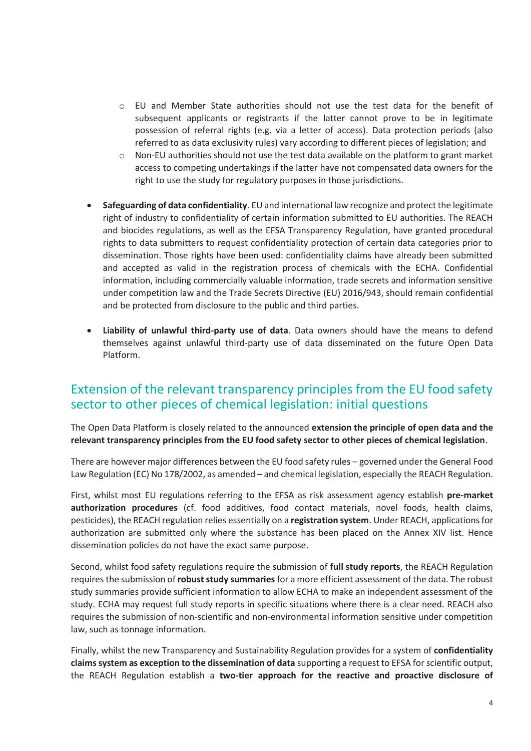- $\circ$  EU and Member State authorities should not use the test data for the benefit of subsequent applicants or registrants if the latter cannot prove to be in legitimate possession of referral rights (e.g. via a letter of access). Data protection periods (also referred to as data exclusivity rules) vary according to different pieces of legislation; and
- o Non-EU authorities should not use the test data available on the platform to grant market access to competing undertakings if the latter have not compensated data owners for the right to use the study for regulatory purposes in those jurisdictions.
- **Safeguarding of data confidentiality**. EU and international law recognize and protect the legitimate right of industry to confidentiality of certain information submitted to EU authorities. The REACH and biocides regulations, as well as the EFSA Transparency Regulation, have granted procedural rights to data submitters to request confidentiality protection of certain data categories prior to dissemination. Those rights have been used: confidentiality claims have already been submitted and accepted as valid in the registration process of chemicals with the ECHA. Confidential information, including commercially valuable information, trade secrets and information sensitive under competition law and the Trade Secrets Directive (EU) 2016/943, should remain confidential and be protected from disclosure to the public and third parties.
- **Liability of unlawful third-party use of data**. Data owners should have the means to defend themselves against unlawful third-party use of data disseminated on the future Open Data Platform.

### Extension of the relevant transparency principles from the EU food safety sector to other pieces of chemical legislation: initial questions

The Open Data Platform is closely related to the announced **extension the principle of open data and the relevant transparency principles from the EU food safety sector to other pieces of chemical legislation**.

There are however major differences between the EU food safety rules – governed under the General Food Law Regulation (EC) No 178/2002, as amended – and chemical legislation, especially the REACH Regulation.

First, whilst most EU regulations referring to the EFSA as risk assessment agency establish **pre-market authorization procedures** (cf. food additives, food contact materials, novel foods, health claims, pesticides), the REACH regulation relies essentially on a **registration system**. Under REACH, applications for authorization are submitted only where the substance has been placed on the Annex XIV list. Hence dissemination policies do not have the exact same purpose.

Second, whilst food safety regulations require the submission of **full study reports**, the REACH Regulation requires the submission of **robust study summaries** for a more efficient assessment of the data. The robust study summaries provide sufficient information to allow ECHA to make an independent assessment of the study. ECHA may request full study reports in specific situations where there is a clear need. REACH also requires the submission of non-scientific and non-environmental information sensitive under competition law, such as tonnage information.

Finally, whilst the new Transparency and Sustainability Regulation provides for a system of **confidentiality claims system as exception to the dissemination of data** supporting a request to EFSA for scientific output, the REACH Regulation establish a **two-tier approach for the reactive and proactive disclosure of**